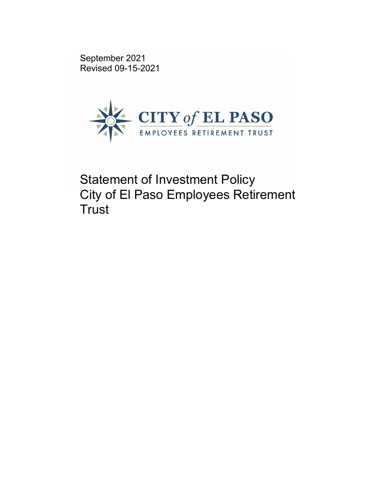September 2021 Revised 09-15-2021



Statement of Investment Policy City of El Paso Employees Retirement **Trust**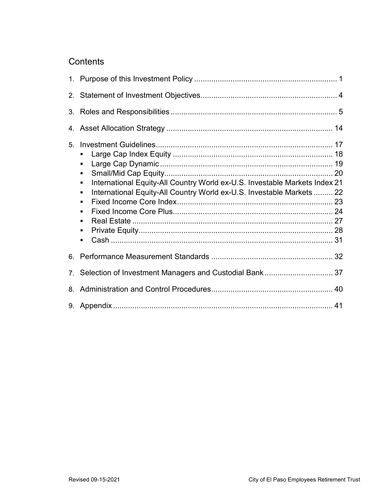## **Contents**

| 5 <sub>1</sub> | ٠<br>$\blacksquare$<br>$\blacksquare$<br>International Equity-All Country World ex-U.S. Investable Markets Index 21<br>٠<br>International Equity-All Country World ex-U.S. Investable Markets  22<br>$\blacksquare$<br>$\blacksquare$<br>$\blacksquare$<br>$\blacksquare$<br>$\blacksquare$<br>$\blacksquare$ |  |
|----------------|---------------------------------------------------------------------------------------------------------------------------------------------------------------------------------------------------------------------------------------------------------------------------------------------------------------|--|
|                |                                                                                                                                                                                                                                                                                                               |  |
|                | 7. Selection of Investment Managers and Custodial Bank 37                                                                                                                                                                                                                                                     |  |
|                |                                                                                                                                                                                                                                                                                                               |  |
|                |                                                                                                                                                                                                                                                                                                               |  |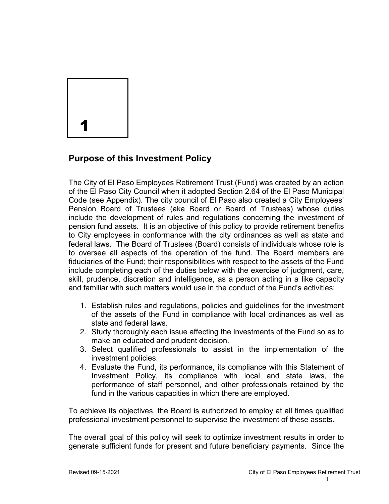

## **Purpose of this Investment Policy**

The City of El Paso Employees Retirement Trust (Fund) was created by an action of the El Paso City Council when it adopted Section 2.64 of the El Paso Municipal Code (see Appendix). The city council of El Paso also created a City Employees' Pension Board of Trustees (aka Board or Board of Trustees) whose duties include the development of rules and regulations concerning the investment of pension fund assets. It is an objective of this policy to provide retirement benefits to City employees in conformance with the city ordinances as well as state and federal laws. The Board of Trustees (Board) consists of individuals whose role is to oversee all aspects of the operation of the fund. The Board members are fiduciaries of the Fund; their responsibilities with respect to the assets of the Fund include completing each of the duties below with the exercise of judgment, care, skill, prudence, discretion and intelligence, as a person acting in a like capacity and familiar with such matters would use in the conduct of the Fund's activities:

- 1. Establish rules and regulations, policies and guidelines for the investment of the assets of the Fund in compliance with local ordinances as well as state and federal laws.
- 2. Study thoroughly each issue affecting the investments of the Fund so as to make an educated and prudent decision.
- 3. Select qualified professionals to assist in the implementation of the investment policies.
- 4. Evaluate the Fund, its performance, its compliance with this Statement of Investment Policy, its compliance with local and state laws, the performance of staff personnel, and other professionals retained by the fund in the various capacities in which there are employed.

To achieve its objectives, the Board is authorized to employ at all times qualified professional investment personnel to supervise the investment of these assets.

The overall goal of this policy will seek to optimize investment results in order to generate sufficient funds for present and future beneficiary payments. Since the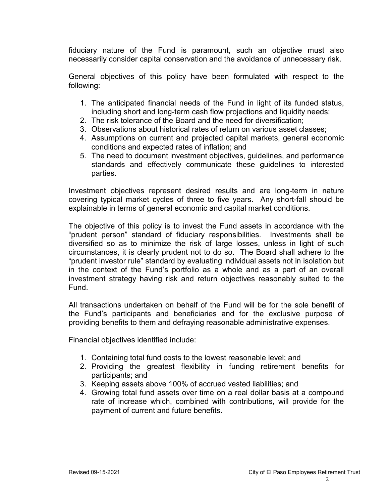fiduciary nature of the Fund is paramount, such an objective must also necessarily consider capital conservation and the avoidance of unnecessary risk.

General objectives of this policy have been formulated with respect to the following:

- 1. The anticipated financial needs of the Fund in light of its funded status, including short and long-term cash flow projections and liquidity needs;
- 2. The risk tolerance of the Board and the need for diversification;
- 3. Observations about historical rates of return on various asset classes;
- 4. Assumptions on current and projected capital markets, general economic conditions and expected rates of inflation; and
- 5. The need to document investment objectives, guidelines, and performance standards and effectively communicate these guidelines to interested parties.

Investment objectives represent desired results and are long-term in nature covering typical market cycles of three to five years. Any short-fall should be explainable in terms of general economic and capital market conditions.

The objective of this policy is to invest the Fund assets in accordance with the "prudent person" standard of fiduciary responsibilities. Investments shall be diversified so as to minimize the risk of large losses, unless in light of such circumstances, it is clearly prudent not to do so. The Board shall adhere to the "prudent investor rule" standard by evaluating individual assets not in isolation but in the context of the Fund's portfolio as a whole and as a part of an overall investment strategy having risk and return objectives reasonably suited to the Fund.

All transactions undertaken on behalf of the Fund will be for the sole benefit of the Fund's participants and beneficiaries and for the exclusive purpose of providing benefits to them and defraying reasonable administrative expenses.

Financial objectives identified include:

- 1. Containing total fund costs to the lowest reasonable level; and
- 2. Providing the greatest flexibility in funding retirement benefits for participants; and
- 3. Keeping assets above 100% of accrued vested liabilities; and
- 4. Growing total fund assets over time on a real dollar basis at a compound rate of increase which, combined with contributions, will provide for the payment of current and future benefits.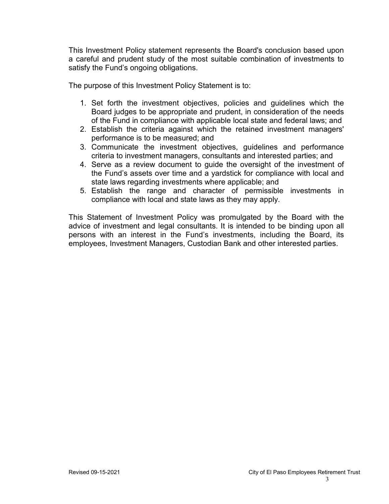This Investment Policy statement represents the Board's conclusion based upon a careful and prudent study of the most suitable combination of investments to satisfy the Fund's ongoing obligations.

The purpose of this Investment Policy Statement is to:

- 1. Set forth the investment objectives, policies and guidelines which the Board judges to be appropriate and prudent, in consideration of the needs of the Fund in compliance with applicable local state and federal laws; and
- 2. Establish the criteria against which the retained investment managers' performance is to be measured; and
- 3. Communicate the investment objectives, guidelines and performance criteria to investment managers, consultants and interested parties; and
- 4. Serve as a review document to guide the oversight of the investment of the Fund's assets over time and a yardstick for compliance with local and state laws regarding investments where applicable; and
- 5. Establish the range and character of permissible investments in compliance with local and state laws as they may apply.

This Statement of Investment Policy was promulgated by the Board with the advice of investment and legal consultants. It is intended to be binding upon all persons with an interest in the Fund's investments, including the Board, its employees, Investment Managers, Custodian Bank and other interested parties.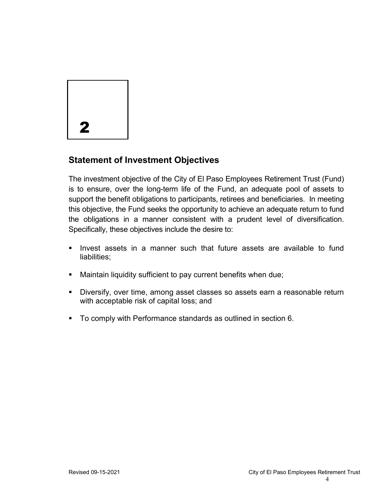

## **Statement of Investment Objectives**

The investment objective of the City of El Paso Employees Retirement Trust (Fund) is to ensure, over the long-term life of the Fund, an adequate pool of assets to support the benefit obligations to participants, retirees and beneficiaries. In meeting this objective, the Fund seeks the opportunity to achieve an adequate return to fund the obligations in a manner consistent with a prudent level of diversification. Specifically, these objectives include the desire to:

- **If lack** in a manner such that future assets are available to fund liabilities;
- Maintain liquidity sufficient to pay current benefits when due;
- Diversify, over time, among asset classes so assets earn a reasonable return with acceptable risk of capital loss; and
- To comply with Performance standards as outlined in section 6.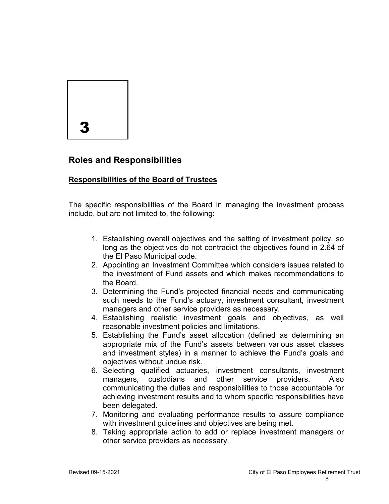

## **Roles and Responsibilities**

### **Responsibilities of the Board of Trustees**

The specific responsibilities of the Board in managing the investment process include, but are not limited to, the following:

- 1. Establishing overall objectives and the setting of investment policy, so long as the objectives do not contradict the objectives found in 2.64 of the El Paso Municipal code.
- 2. Appointing an Investment Committee which considers issues related to the investment of Fund assets and which makes recommendations to the Board.
- 3. Determining the Fund's projected financial needs and communicating such needs to the Fund's actuary, investment consultant, investment managers and other service providers as necessary.
- 4. Establishing realistic investment goals and objectives, as well reasonable investment policies and limitations.
- 5. Establishing the Fund's asset allocation (defined as determining an appropriate mix of the Fund's assets between various asset classes and investment styles) in a manner to achieve the Fund's goals and objectives without undue risk.
- 6. Selecting qualified actuaries, investment consultants, investment managers, custodians and other service providers. Also communicating the duties and responsibilities to those accountable for achieving investment results and to whom specific responsibilities have been delegated.
- 7. Monitoring and evaluating performance results to assure compliance with investment guidelines and objectives are being met.
- 8. Taking appropriate action to add or replace investment managers or other service providers as necessary.

 $\sim$  5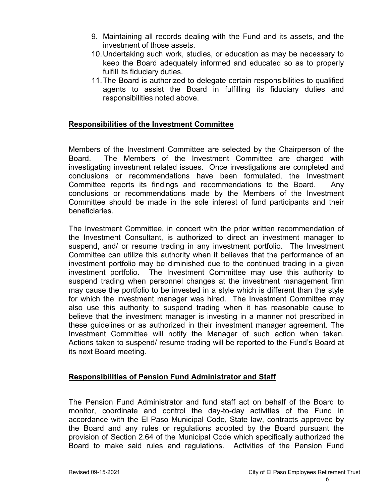- 9. Maintaining all records dealing with the Fund and its assets, and the investment of those assets.
- 10.Undertaking such work, studies, or education as may be necessary to keep the Board adequately informed and educated so as to properly fulfill its fiduciary duties.
- 11.The Board is authorized to delegate certain responsibilities to qualified agents to assist the Board in fulfilling its fiduciary duties and responsibilities noted above.

#### **Responsibilities of the Investment Committee**

Members of the Investment Committee are selected by the Chairperson of the Board. The Members of the Investment Committee are charged with investigating investment related issues. Once investigations are completed and conclusions or recommendations have been formulated, the Investment Committee reports its findings and recommendations to the Board. Any conclusions or recommendations made by the Members of the Investment Committee should be made in the sole interest of fund participants and their beneficiaries.

The Investment Committee, in concert with the prior written recommendation of the Investment Consultant, is authorized to direct an investment manager to suspend, and/ or resume trading in any investment portfolio. The Investment Committee can utilize this authority when it believes that the performance of an investment portfolio may be diminished due to the continued trading in a given investment portfolio. The Investment Committee may use this authority to suspend trading when personnel changes at the investment management firm may cause the portfolio to be invested in a style which is different than the style for which the investment manager was hired. The Investment Committee may also use this authority to suspend trading when it has reasonable cause to believe that the investment manager is investing in a manner not prescribed in these guidelines or as authorized in their investment manager agreement. The Investment Committee will notify the Manager of such action when taken. Actions taken to suspend/ resume trading will be reported to the Fund's Board at its next Board meeting.

#### **Responsibilities of Pension Fund Administrator and Staff**

The Pension Fund Administrator and fund staff act on behalf of the Board to monitor, coordinate and control the day-to-day activities of the Fund in accordance with the El Paso Municipal Code, State law, contracts approved by the Board and any rules or regulations adopted by the Board pursuant the provision of Section 2.64 of the Municipal Code which specifically authorized the Board to make said rules and regulations. Activities of the Pension Fund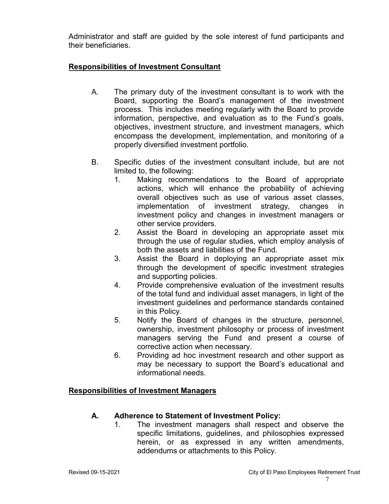Administrator and staff are guided by the sole interest of fund participants and their beneficiaries.

### **Responsibilities of Investment Consultant**

- A. The primary duty of the investment consultant is to work with the Board, supporting the Board's management of the investment process. This includes meeting regularly with the Board to provide information, perspective, and evaluation as to the Fund's goals, objectives, investment structure, and investment managers, which encompass the development, implementation, and monitoring of a properly diversified investment portfolio.
- B. Specific duties of the investment consultant include, but are not limited to, the following:
	- 1. Making recommendations to the Board of appropriate actions, which will enhance the probability of achieving overall objectives such as use of various asset classes, implementation of investment strategy, changes in investment policy and changes in investment managers or other service providers.
	- 2. Assist the Board in developing an appropriate asset mix through the use of regular studies, which employ analysis of both the assets and liabilities of the Fund.
	- 3. Assist the Board in deploying an appropriate asset mix through the development of specific investment strategies and supporting policies.
	- 4. Provide comprehensive evaluation of the investment results of the total fund and individual asset managers, in light of the investment guidelines and performance standards contained in this Policy.
	- 5. Notify the Board of changes in the structure, personnel, ownership, investment philosophy or process of investment managers serving the Fund and present a course of corrective action when necessary.
	- 6. Providing ad hoc investment research and other support as may be necessary to support the Board's educational and informational needs.

### **Responsibilities of Investment Managers**

### **A. Adherence to Statement of Investment Policy:**

1. The investment managers shall respect and observe the specific limitations, guidelines, and philosophies expressed herein, or as expressed in any written amendments, addendums or attachments to this Policy.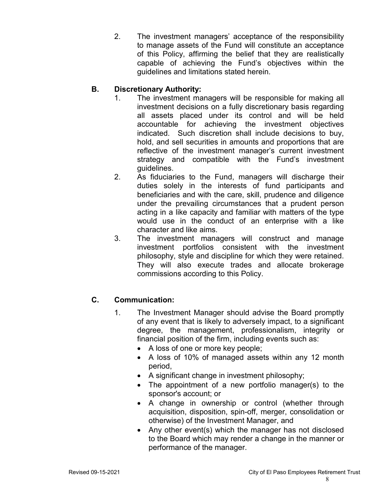2. The investment managers' acceptance of the responsibility to manage assets of the Fund will constitute an acceptance of this Policy, affirming the belief that they are realistically capable of achieving the Fund's objectives within the guidelines and limitations stated herein.

## **B. Discretionary Authority:**

- 1. The investment managers will be responsible for making all investment decisions on a fully discretionary basis regarding all assets placed under its control and will be held accountable for achieving the investment objectives indicated. Such discretion shall include decisions to buy, hold, and sell securities in amounts and proportions that are reflective of the investment manager's current investment strategy and compatible with the Fund's investment guidelines.
- 2. As fiduciaries to the Fund, managers will discharge their duties solely in the interests of fund participants and beneficiaries and with the care, skill, prudence and diligence under the prevailing circumstances that a prudent person acting in a like capacity and familiar with matters of the type would use in the conduct of an enterprise with a like character and like aims.
- 3. The investment managers will construct and manage investment portfolios consistent with the investment philosophy, style and discipline for which they were retained. They will also execute trades and allocate brokerage commissions according to this Policy.

### **C. Communication:**

- 1. The Investment Manager should advise the Board promptly of any event that is likely to adversely impact, to a significant degree, the management, professionalism, integrity or financial position of the firm, including events such as:
	- A loss of one or more key people;
	- A loss of 10% of managed assets within any 12 month period,
	- A significant change in investment philosophy;
	- The appointment of a new portfolio manager(s) to the sponsor's account; or
	- A change in ownership or control (whether through acquisition, disposition, spin-off, merger, consolidation or otherwise) of the Investment Manager, and
	- Any other event(s) which the manager has not disclosed to the Board which may render a change in the manner or performance of the manager.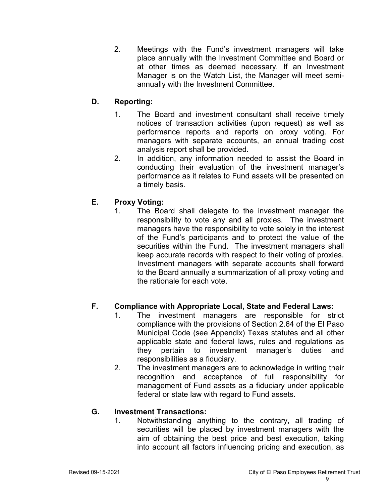2. Meetings with the Fund's investment managers will take place annually with the Investment Committee and Board or at other times as deemed necessary. If an Investment Manager is on the Watch List, the Manager will meet semiannually with the Investment Committee.

### **D. Reporting:**

- 1. The Board and investment consultant shall receive timely notices of transaction activities (upon request) as well as performance reports and reports on proxy voting. For managers with separate accounts, an annual trading cost analysis report shall be provided.
- 2. In addition, any information needed to assist the Board in conducting their evaluation of the investment manager's performance as it relates to Fund assets will be presented on a timely basis.

### **E. Proxy Voting:**

1. The Board shall delegate to the investment manager the responsibility to vote any and all proxies. The investment managers have the responsibility to vote solely in the interest of the Fund's participants and to protect the value of the securities within the Fund. The investment managers shall keep accurate records with respect to their voting of proxies. Investment managers with separate accounts shall forward to the Board annually a summarization of all proxy voting and the rationale for each vote.

### **F. Compliance with Appropriate Local, State and Federal Laws:**

- 1. The investment managers are responsible for strict compliance with the provisions of Section 2.64 of the El Paso Municipal Code (see Appendix) Texas statutes and all other applicable state and federal laws, rules and regulations as they pertain to investment manager's duties and responsibilities as a fiduciary.
- 2. The investment managers are to acknowledge in writing their recognition and acceptance of full responsibility for management of Fund assets as a fiduciary under applicable federal or state law with regard to Fund assets.

### **G. Investment Transactions:**

1. Notwithstanding anything to the contrary, all trading of securities will be placed by investment managers with the aim of obtaining the best price and best execution, taking into account all factors influencing pricing and execution, as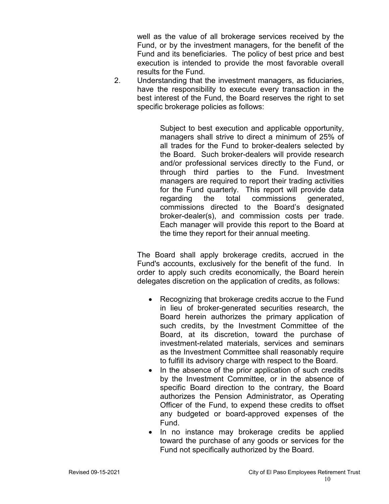well as the value of all brokerage services received by the Fund, or by the investment managers, for the benefit of the Fund and its beneficiaries. The policy of best price and best execution is intended to provide the most favorable overall results for the Fund.

2. Understanding that the investment managers, as fiduciaries, have the responsibility to execute every transaction in the best interest of the Fund, the Board reserves the right to set specific brokerage policies as follows:

> Subject to best execution and applicable opportunity, managers shall strive to direct a minimum of 25% of all trades for the Fund to broker-dealers selected by the Board. Such broker-dealers will provide research and/or professional services directly to the Fund, or through third parties to the Fund. Investment managers are required to report their trading activities for the Fund quarterly. This report will provide data regarding the total commissions generated, commissions directed to the Board's designated broker-dealer(s), and commission costs per trade. Each manager will provide this report to the Board at the time they report for their annual meeting.

The Board shall apply brokerage credits, accrued in the Fund's accounts, exclusively for the benefit of the fund. In order to apply such credits economically, the Board herein delegates discretion on the application of credits, as follows:

- Recognizing that brokerage credits accrue to the Fund in lieu of broker-generated securities research, the Board herein authorizes the primary application of such credits, by the Investment Committee of the Board, at its discretion, toward the purchase of investment-related materials, services and seminars as the Investment Committee shall reasonably require to fulfill its advisory charge with respect to the Board.
- In the absence of the prior application of such credits by the Investment Committee, or in the absence of specific Board direction to the contrary, the Board authorizes the Pension Administrator, as Operating Officer of the Fund, to expend these credits to offset any budgeted or board-approved expenses of the Fund.
- In no instance may brokerage credits be applied toward the purchase of any goods or services for the Fund not specifically authorized by the Board.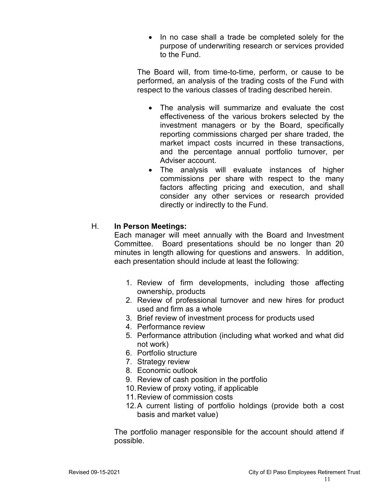• In no case shall a trade be completed solely for the purpose of underwriting research or services provided to the Fund.

The Board will, from time-to-time, perform, or cause to be performed, an analysis of the trading costs of the Fund with respect to the various classes of trading described herein.

- The analysis will summarize and evaluate the cost effectiveness of the various brokers selected by the investment managers or by the Board, specifically reporting commissions charged per share traded, the market impact costs incurred in these transactions, and the percentage annual portfolio turnover, per Adviser account.
- The analysis will evaluate instances of higher commissions per share with respect to the many factors affecting pricing and execution, and shall consider any other services or research provided directly or indirectly to the Fund.

### H. **In Person Meetings:**

Each manager will meet annually with the Board and Investment Committee. Board presentations should be no longer than 20 minutes in length allowing for questions and answers. In addition, each presentation should include at least the following:

- 1. Review of firm developments, including those affecting ownership, products
- 2. Review of professional turnover and new hires for product used and firm as a whole
- 3. Brief review of investment process for products used
- 4. Performance review
- 5. Performance attribution (including what worked and what did not work)
- 6. Portfolio structure
- 7. Strategy review
- 8. Economic outlook
- 9. Review of cash position in the portfolio
- 10.Review of proxy voting, if applicable
- 11.Review of commission costs
- 12.A current listing of portfolio holdings (provide both a cost basis and market value)

The portfolio manager responsible for the account should attend if possible.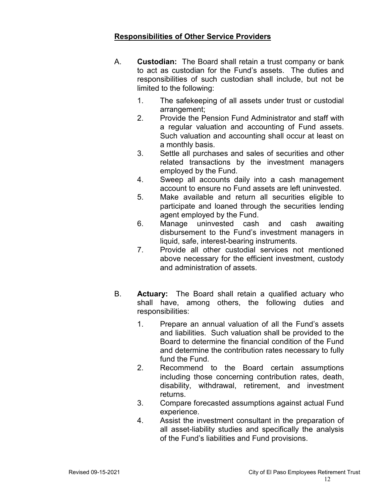### **Responsibilities of Other Service Providers**

- A. **Custodian:** The Board shall retain a trust company or bank to act as custodian for the Fund's assets. The duties and responsibilities of such custodian shall include, but not be limited to the following:
	- 1. The safekeeping of all assets under trust or custodial arrangement;
	- 2. Provide the Pension Fund Administrator and staff with a regular valuation and accounting of Fund assets. Such valuation and accounting shall occur at least on a monthly basis.
	- 3. Settle all purchases and sales of securities and other related transactions by the investment managers employed by the Fund.
	- 4. Sweep all accounts daily into a cash management account to ensure no Fund assets are left uninvested.
	- 5. Make available and return all securities eligible to participate and loaned through the securities lending agent employed by the Fund.
	- 6. Manage uninvested cash and cash awaiting disbursement to the Fund's investment managers in liquid, safe, interest-bearing instruments.
	- 7. Provide all other custodial services not mentioned above necessary for the efficient investment, custody and administration of assets.
- B. **Actuary:** The Board shall retain a qualified actuary who shall have, among others, the following duties and responsibilities:
	- 1. Prepare an annual valuation of all the Fund's assets and liabilities. Such valuation shall be provided to the Board to determine the financial condition of the Fund and determine the contribution rates necessary to fully fund the Fund.
	- 2. Recommend to the Board certain assumptions including those concerning contribution rates, death, disability, withdrawal, retirement, and investment returns.
	- 3. Compare forecasted assumptions against actual Fund experience.
	- 4. Assist the investment consultant in the preparation of all asset-liability studies and specifically the analysis of the Fund's liabilities and Fund provisions.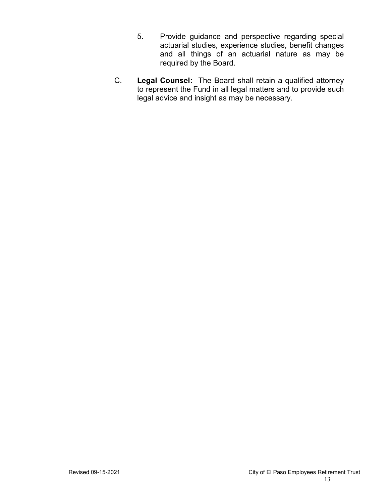- 5. Provide guidance and perspective regarding special actuarial studies, experience studies, benefit changes and all things of an actuarial nature as may be required by the Board.
- C. **Legal Counsel:** The Board shall retain a qualified attorney to represent the Fund in all legal matters and to provide such legal advice and insight as may be necessary.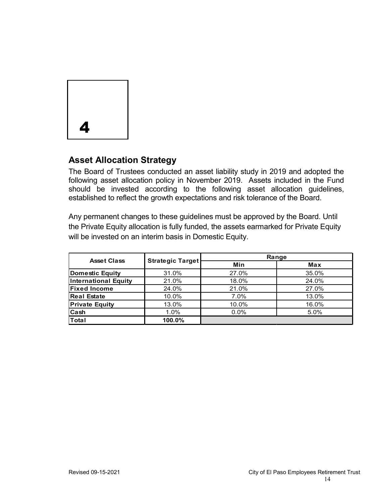

## **Asset Allocation Strategy**

The Board of Trustees conducted an asset liability study in 2019 and adopted the following asset allocation policy in November 2019. Assets included in the Fund should be invested according to the following asset allocation guidelines, established to reflect the growth expectations and risk tolerance of the Board.

Any permanent changes to these guidelines must be approved by the Board. Until the Private Equity allocation is fully funded, the assets earmarked for Private Equity will be invested on an interim basis in Domestic Equity.

| <b>Asset Class</b>          | <b>Strategic Target</b> | Range   |            |
|-----------------------------|-------------------------|---------|------------|
|                             |                         | Min     | <b>Max</b> |
| <b>Domestic Equity</b>      | 31.0%                   | 27.0%   | 35.0%      |
| <b>International Equity</b> | 21.0%                   | 18.0%   | 24.0%      |
| <b>Fixed Income</b>         | 24.0%                   | 21.0%   | 27.0%      |
| <b>Real Estate</b>          | 10.0%                   | $7.0\%$ | 13.0%      |
| <b>Private Equity</b>       | 13.0%                   | 10.0%   | 16.0%      |
| Cash                        | 1.0%                    | $0.0\%$ | 5.0%       |
| <b>Total</b>                | 100.0%                  |         |            |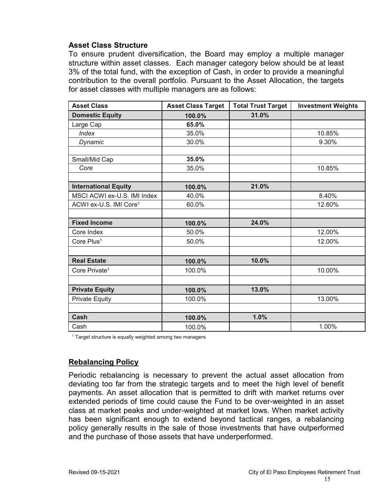#### **Asset Class Structure**

To ensure prudent diversification, the Board may employ a multiple manager structure within asset classes. Each manager category below should be at least 3% of the total fund, with the exception of Cash, in order to provide a meaningful contribution to the overall portfolio. Pursuant to the Asset Allocation, the targets for asset classes with multiple managers are as follows:

| <b>Asset Class</b>                 | <b>Asset Class Target</b> | <b>Total Trust Target</b> | <b>Investment Weights</b> |
|------------------------------------|---------------------------|---------------------------|---------------------------|
| <b>Domestic Equity</b>             | 100.0%                    | 31.0%                     |                           |
| Large Cap                          | 65.0%                     |                           |                           |
| <b>Index</b>                       | 35.0%                     |                           | 10.85%                    |
| Dynamic                            | 30.0%                     |                           | 9.30%                     |
|                                    |                           |                           |                           |
| Small/Mid Cap                      | 35.0%                     |                           |                           |
| Core                               | 35.0%                     |                           | 10.85%                    |
|                                    |                           |                           |                           |
| <b>International Equity</b>        | 100.0%                    | 21.0%                     |                           |
| MSCI ACWI ex-U.S. IMI Index        | 40.0%                     |                           | 8.40%                     |
| ACWI ex-U.S. IMI Core <sup>1</sup> | 60.0%                     |                           | 12.60%                    |
|                                    |                           |                           |                           |
| <b>Fixed Income</b>                | 100.0%                    | 24.0%                     |                           |
| Core Index                         | 50.0%                     |                           | 12.00%                    |
| Core Plus <sup>1</sup>             | 50.0%                     |                           | 12.00%                    |
|                                    |                           |                           |                           |
| <b>Real Estate</b>                 | 100.0%                    | 10.0%                     |                           |
| Core Private <sup>1</sup>          | 100.0%                    |                           | 10.00%                    |
|                                    |                           |                           |                           |
| <b>Private Equity</b>              | 100.0%                    | 13.0%                     |                           |
| <b>Private Equity</b>              | 100.0%                    |                           | 13.00%                    |
|                                    |                           |                           |                           |
| Cash                               | 100.0%                    | 1.0%                      |                           |
| Cash                               | 100.0%                    |                           | 1.00%                     |

<sup>1</sup> Target structure is equally weighted among two managers

### **Rebalancing Policy**

Periodic rebalancing is necessary to prevent the actual asset allocation from deviating too far from the strategic targets and to meet the high level of benefit payments. An asset allocation that is permitted to drift with market returns over extended periods of time could cause the Fund to be over-weighted in an asset class at market peaks and under-weighted at market lows. When market activity has been significant enough to extend beyond tactical ranges, a rebalancing policy generally results in the sale of those investments that have outperformed and the purchase of those assets that have underperformed.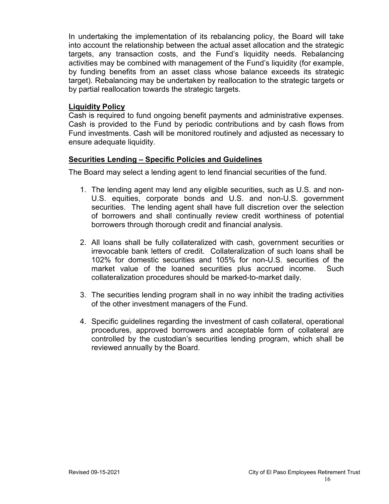In undertaking the implementation of its rebalancing policy, the Board will take into account the relationship between the actual asset allocation and the strategic targets, any transaction costs, and the Fund's liquidity needs. Rebalancing activities may be combined with management of the Fund's liquidity (for example, by funding benefits from an asset class whose balance exceeds its strategic target). Rebalancing may be undertaken by reallocation to the strategic targets or by partial reallocation towards the strategic targets.

### **Liquidity Policy**

Cash is required to fund ongoing benefit payments and administrative expenses. Cash is provided to the Fund by periodic contributions and by cash flows from Fund investments. Cash will be monitored routinely and adjusted as necessary to ensure adequate liquidity.

### **Securities Lending – Specific Policies and Guidelines**

The Board may select a lending agent to lend financial securities of the fund.

- 1. The lending agent may lend any eligible securities, such as U.S. and non-U.S. equities, corporate bonds and U.S. and non-U.S. government securities. The lending agent shall have full discretion over the selection of borrowers and shall continually review credit worthiness of potential borrowers through thorough credit and financial analysis.
- 2. All loans shall be fully collateralized with cash, government securities or irrevocable bank letters of credit. Collateralization of such loans shall be 102% for domestic securities and 105% for non-U.S. securities of the market value of the loaned securities plus accrued income. Such collateralization procedures should be marked-to-market daily.
- 3. The securities lending program shall in no way inhibit the trading activities of the other investment managers of the Fund.
- 4. Specific guidelines regarding the investment of cash collateral, operational procedures, approved borrowers and acceptable form of collateral are controlled by the custodian's securities lending program, which shall be reviewed annually by the Board.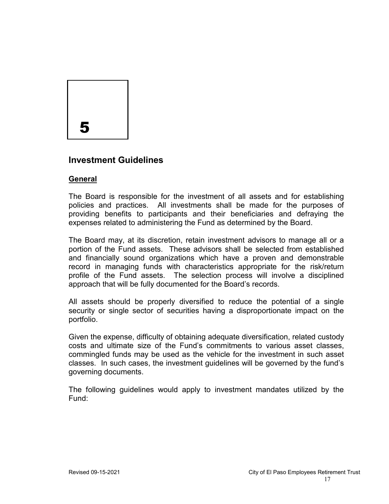

## **Investment Guidelines**

### **General**

The Board is responsible for the investment of all assets and for establishing policies and practices. All investments shall be made for the purposes of providing benefits to participants and their beneficiaries and defraying the expenses related to administering the Fund as determined by the Board.

The Board may, at its discretion, retain investment advisors to manage all or a portion of the Fund assets. These advisors shall be selected from established and financially sound organizations which have a proven and demonstrable record in managing funds with characteristics appropriate for the risk/return profile of the Fund assets. The selection process will involve a disciplined approach that will be fully documented for the Board's records.

All assets should be properly diversified to reduce the potential of a single security or single sector of securities having a disproportionate impact on the portfolio.

Given the expense, difficulty of obtaining adequate diversification, related custody costs and ultimate size of the Fund's commitments to various asset classes, commingled funds may be used as the vehicle for the investment in such asset classes. In such cases, the investment guidelines will be governed by the fund's governing documents.

The following guidelines would apply to investment mandates utilized by the Fund: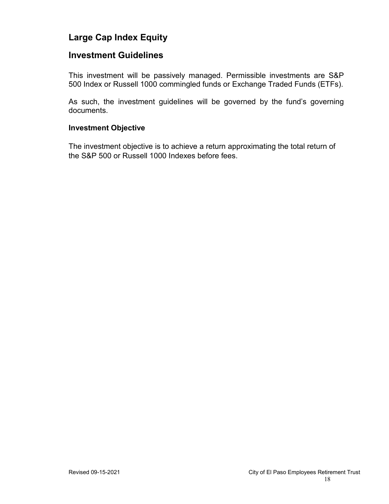## **Large Cap Index Equity**

### **Investment Guidelines**

This investment will be passively managed. Permissible investments are S&P 500 Index or Russell 1000 commingled funds or Exchange Traded Funds (ETFs).

As such, the investment guidelines will be governed by the fund's governing documents.

#### **Investment Objective**

The investment objective is to achieve a return approximating the total return of the S&P 500 or Russell 1000 Indexes before fees.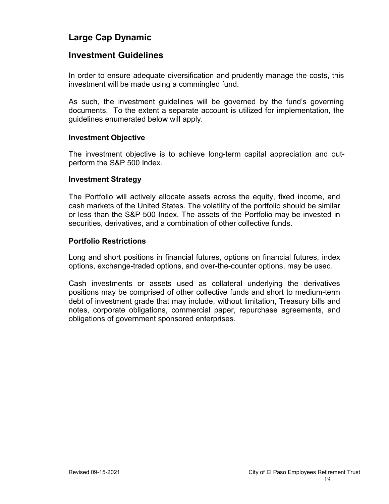## **Large Cap Dynamic**

### **Investment Guidelines**

In order to ensure adequate diversification and prudently manage the costs, this investment will be made using a commingled fund.

As such, the investment guidelines will be governed by the fund's governing documents. To the extent a separate account is utilized for implementation, the guidelines enumerated below will apply.

#### **Investment Objective**

The investment objective is to achieve long-term capital appreciation and outperform the S&P 500 Index.

#### **Investment Strategy**

The Portfolio will actively allocate assets across the equity, fixed income, and cash markets of the United States. The volatility of the portfolio should be similar or less than the S&P 500 Index. The assets of the Portfolio may be invested in securities, derivatives, and a combination of other collective funds.

#### **Portfolio Restrictions**

Long and short positions in financial futures, options on financial futures, index options, exchange-traded options, and over-the-counter options, may be used.

Cash investments or assets used as collateral underlying the derivatives positions may be comprised of other collective funds and short to medium-term debt of investment grade that may include, without limitation, Treasury bills and notes, corporate obligations, commercial paper, repurchase agreements, and obligations of government sponsored enterprises.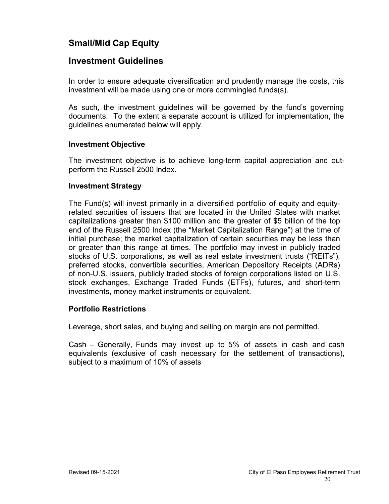## **Small/Mid Cap Equity**

## **Investment Guidelines**

In order to ensure adequate diversification and prudently manage the costs, this investment will be made using one or more commingled funds(s).

As such, the investment guidelines will be governed by the fund's governing documents. To the extent a separate account is utilized for implementation, the guidelines enumerated below will apply.

### **Investment Objective**

The investment objective is to achieve long-term capital appreciation and outperform the Russell 2500 Index.

### **Investment Strategy**

The Fund(s) will invest primarily in a diversified portfolio of equity and equityrelated securities of issuers that are located in the United States with market capitalizations greater than \$100 million and the greater of \$5 billion of the top end of the Russell 2500 Index (the "Market Capitalization Range") at the time of initial purchase; the market capitalization of certain securities may be less than or greater than this range at times. The portfolio may invest in publicly traded stocks of U.S. corporations, as well as real estate investment trusts ("REITs"), preferred stocks, convertible securities, American Depository Receipts (ADRs) of non-U.S. issuers, publicly traded stocks of foreign corporations listed on U.S. stock exchanges, Exchange Traded Funds (ETFs), futures, and short-term investments, money market instruments or equivalent.

### **Portfolio Restrictions**

Leverage, short sales, and buying and selling on margin are not permitted.

Cash – Generally, Funds may invest up to 5% of assets in cash and cash equivalents (exclusive of cash necessary for the settlement of transactions), subject to a maximum of 10% of assets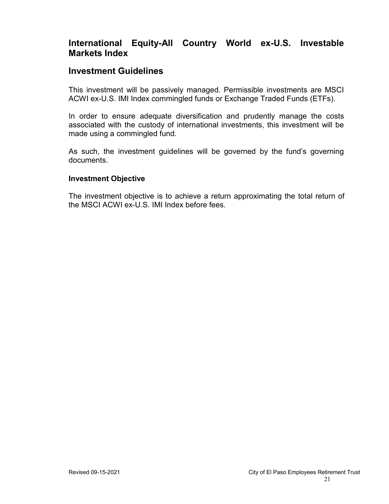## **International Equity-All Country World ex-U.S. Investable Markets Index**

### **Investment Guidelines**

This investment will be passively managed. Permissible investments are MSCI ACWI ex-U.S. IMI Index commingled funds or Exchange Traded Funds (ETFs).

In order to ensure adequate diversification and prudently manage the costs associated with the custody of international investments, this investment will be made using a commingled fund.

As such, the investment guidelines will be governed by the fund's governing documents.

#### **Investment Objective**

The investment objective is to achieve a return approximating the total return of the MSCI ACWI ex-U.S. IMI Index before fees.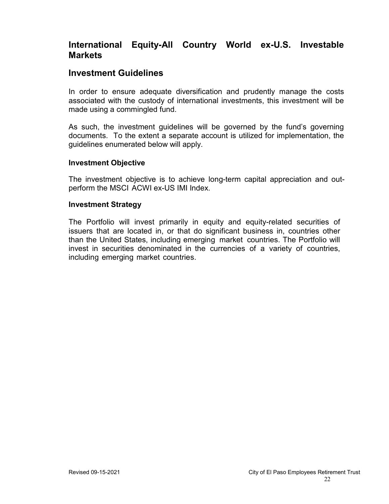## **International Equity-All Country World ex-U.S. Investable Markets**

### **Investment Guidelines**

In order to ensure adequate diversification and prudently manage the costs associated with the custody of international investments, this investment will be made using a commingled fund.

As such, the investment guidelines will be governed by the fund's governing documents. To the extent a separate account is utilized for implementation, the guidelines enumerated below will apply.

#### **Investment Objective**

The investment objective is to achieve long-term capital appreciation and outperform the MSCI ACWI ex-US IMI Index.

#### **Investment Strategy**

The Portfolio will invest primarily in equity and equity-related securities of issuers that are located in, or that do significant business in, countries other than the United States, including emerging market countries. The Portfolio will invest in securities denominated in the currencies of a variety of countries, including emerging market countries.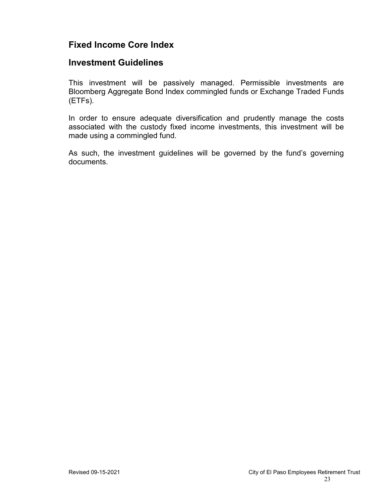## **Fixed Income Core Index**

### **Investment Guidelines**

This investment will be passively managed. Permissible investments are Bloomberg Aggregate Bond Index commingled funds or Exchange Traded Funds (ETFs).

In order to ensure adequate diversification and prudently manage the costs associated with the custody fixed income investments, this investment will be made using a commingled fund.

As such, the investment guidelines will be governed by the fund's governing documents.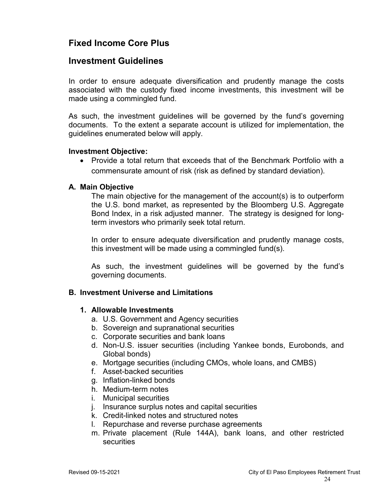## **Fixed Income Core Plus**

### **Investment Guidelines**

In order to ensure adequate diversification and prudently manage the costs associated with the custody fixed income investments, this investment will be made using a commingled fund.

As such, the investment guidelines will be governed by the fund's governing documents. To the extent a separate account is utilized for implementation, the guidelines enumerated below will apply.

#### **Investment Objective:**

• Provide a total return that exceeds that of the Benchmark Portfolio with a commensurate amount of risk (risk as defined by standard deviation).

### **A. Main Objective**

The main objective for the management of the account(s) is to outperform the U.S. bond market, as represented by the Bloomberg U.S. Aggregate Bond Index, in a risk adjusted manner. The strategy is designed for longterm investors who primarily seek total return.

In order to ensure adequate diversification and prudently manage costs, this investment will be made using a commingled fund(s).

As such, the investment guidelines will be governed by the fund's governing documents.

### **B. Investment Universe and Limitations**

#### **1. Allowable Investments**

- a. U.S. Government and Agency securities
- b. Sovereign and supranational securities
- c. Corporate securities and bank loans
- d. Non-U.S. issuer securities (including Yankee bonds, Eurobonds, and Global bonds)
- e. Mortgage securities (including CMOs, whole loans, and CMBS)
- f. Asset-backed securities
- g. Inflation-linked bonds
- h. Medium-term notes
- i. Municipal securities
- j. Insurance surplus notes and capital securities
- k. Credit-linked notes and structured notes
- l. Repurchase and reverse purchase agreements
- m. Private placement (Rule 144A), bank loans, and other restricted securities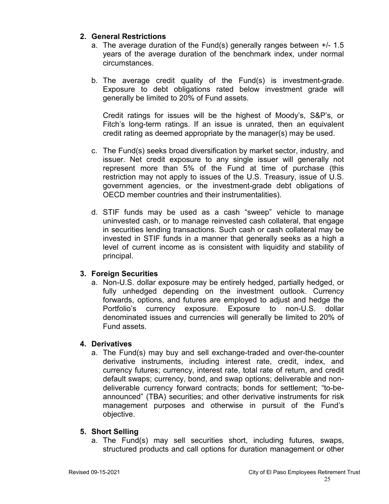### **2. General Restrictions**

- a. The average duration of the Fund(s) generally ranges between +/- 1.5 years of the average duration of the benchmark index, under normal circumstances.
- b. The average credit quality of the Fund(s) is investment-grade. Exposure to debt obligations rated below investment grade will generally be limited to 20% of Fund assets.

Credit ratings for issues will be the highest of Moody's, S&P's, or Fitch's long-term ratings. If an issue is unrated, then an equivalent credit rating as deemed appropriate by the manager(s) may be used.

- c. The Fund(s) seeks broad diversification by market sector, industry, and issuer. Net credit exposure to any single issuer will generally not represent more than 5% of the Fund at time of purchase (this restriction may not apply to issues of the U.S. Treasury, issue of U.S. government agencies, or the investment-grade debt obligations of OECD member countries and their instrumentalities).
- d. STIF funds may be used as a cash "sweep" vehicle to manage uninvested cash, or to manage reinvested cash collateral, that engage in securities lending transactions. Such cash or cash collateral may be invested in STIF funds in a manner that generally seeks as a high a level of current income as is consistent with liquidity and stability of principal.

### **3. Foreign Securities**

a. Non-U.S. dollar exposure may be entirely hedged, partially hedged, or fully unhedged depending on the investment outlook. Currency forwards, options, and futures are employed to adjust and hedge the Portfolio's currency exposure. Exposure to non-U.S. dollar denominated issues and currencies will generally be limited to 20% of Fund assets.

### **4. Derivatives**

a. The Fund(s) may buy and sell exchange-traded and over-the-counter derivative instruments, including interest rate, credit, index, and currency futures; currency, interest rate, total rate of return, and credit default swaps; currency, bond, and swap options; deliverable and nondeliverable currency forward contracts; bonds for settlement; "to-beannounced" (TBA) securities; and other derivative instruments for risk management purposes and otherwise in pursuit of the Fund's objective.

### **5. Short Selling**

a. The Fund(s) may sell securities short, including futures, swaps, structured products and call options for duration management or other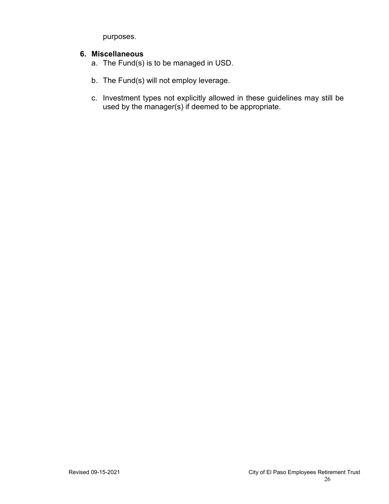purposes.

### **6. Miscellaneous**

- a. The Fund(s) is to be managed in USD.
- b. The Fund(s) will not employ leverage.
- c. Investment types not explicitly allowed in these guidelines may still be used by the manager(s) if deemed to be appropriate.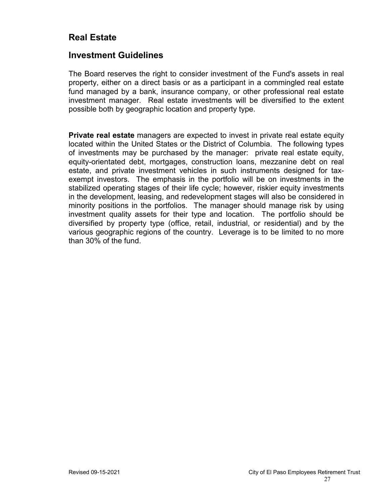## **Real Estate**

### **Investment Guidelines**

The Board reserves the right to consider investment of the Fund's assets in real property, either on a direct basis or as a participant in a commingled real estate fund managed by a bank, insurance company, or other professional real estate investment manager. Real estate investments will be diversified to the extent possible both by geographic location and property type.

**Private real estate** managers are expected to invest in private real estate equity located within the United States or the District of Columbia. The following types of investments may be purchased by the manager: private real estate equity, equity-orientated debt, mortgages, construction loans, mezzanine debt on real estate, and private investment vehicles in such instruments designed for taxexempt investors. The emphasis in the portfolio will be on investments in the stabilized operating stages of their life cycle; however, riskier equity investments in the development, leasing, and redevelopment stages will also be considered in minority positions in the portfolios. The manager should manage risk by using investment quality assets for their type and location. The portfolio should be diversified by property type (office, retail, industrial, or residential) and by the various geographic regions of the country. Leverage is to be limited to no more than 30% of the fund.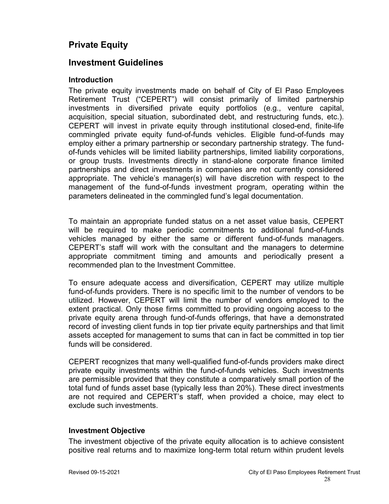## **Private Equity**

### **Investment Guidelines**

#### **Introduction**

The private equity investments made on behalf of City of El Paso Employees Retirement Trust ("CEPERT") will consist primarily of limited partnership investments in diversified private equity portfolios (e.g., venture capital, acquisition, special situation, subordinated debt, and restructuring funds, etc.). CEPERT will invest in private equity through institutional closed-end, finite-life commingled private equity fund-of-funds vehicles. Eligible fund-of-funds may employ either a primary partnership or secondary partnership strategy. The fundof-funds vehicles will be limited liability partnerships, limited liability corporations, or group trusts. Investments directly in stand-alone corporate finance limited partnerships and direct investments in companies are not currently considered appropriate. The vehicle's manager(s) will have discretion with respect to the management of the fund-of-funds investment program, operating within the parameters delineated in the commingled fund's legal documentation.

To maintain an appropriate funded status on a net asset value basis, CEPERT will be required to make periodic commitments to additional fund-of-funds vehicles managed by either the same or different fund-of-funds managers. CEPERT's staff will work with the consultant and the managers to determine appropriate commitment timing and amounts and periodically present a recommended plan to the Investment Committee.

To ensure adequate access and diversification, CEPERT may utilize multiple fund-of-funds providers. There is no specific limit to the number of vendors to be utilized. However, CEPERT will limit the number of vendors employed to the extent practical. Only those firms committed to providing ongoing access to the private equity arena through fund-of-funds offerings, that have a demonstrated record of investing client funds in top tier private equity partnerships and that limit assets accepted for management to sums that can in fact be committed in top tier funds will be considered.

CEPERT recognizes that many well-qualified fund-of-funds providers make direct private equity investments within the fund-of-funds vehicles. Such investments are permissible provided that they constitute a comparatively small portion of the total fund of funds asset base (typically less than 20%). These direct investments are not required and CEPERT's staff, when provided a choice, may elect to exclude such investments.

### **Investment Objective**

The investment objective of the private equity allocation is to achieve consistent positive real returns and to maximize long-term total return within prudent levels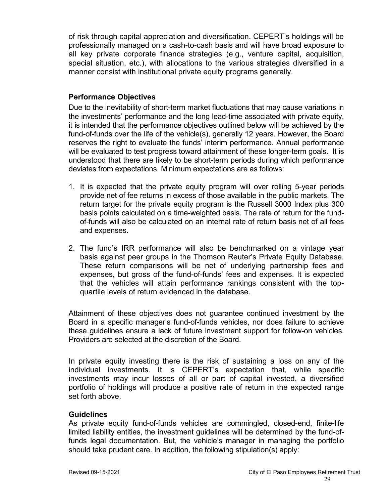of risk through capital appreciation and diversification. CEPERT's holdings will be professionally managed on a cash-to-cash basis and will have broad exposure to all key private corporate finance strategies (e.g., venture capital, acquisition, special situation, etc.), with allocations to the various strategies diversified in a manner consist with institutional private equity programs generally.

### **Performance Objectives**

Due to the inevitability of short-term market fluctuations that may cause variations in the investments' performance and the long lead-time associated with private equity, it is intended that the performance objectives outlined below will be achieved by the fund-of-funds over the life of the vehicle(s), generally 12 years. However, the Board reserves the right to evaluate the funds' interim performance. Annual performance will be evaluated to test progress toward attainment of these longer-term goals. It is understood that there are likely to be short-term periods during which performance deviates from expectations. Minimum expectations are as follows:

- 1. It is expected that the private equity program will over rolling 5-year periods provide net of fee returns in excess of those available in the public markets. The return target for the private equity program is the Russell 3000 Index plus 300 basis points calculated on a time-weighted basis. The rate of return for the fundof-funds will also be calculated on an internal rate of return basis net of all fees and expenses.
- 2. The fund's IRR performance will also be benchmarked on a vintage year basis against peer groups in the Thomson Reuter's Private Equity Database. These return comparisons will be net of underlying partnership fees and expenses, but gross of the fund-of-funds' fees and expenses. It is expected that the vehicles will attain performance rankings consistent with the topquartile levels of return evidenced in the database.

Attainment of these objectives does not guarantee continued investment by the Board in a specific manager's fund-of-funds vehicles, nor does failure to achieve these guidelines ensure a lack of future investment support for follow-on vehicles. Providers are selected at the discretion of the Board.

In private equity investing there is the risk of sustaining a loss on any of the individual investments. It is CEPERT's expectation that, while specific investments may incur losses of all or part of capital invested, a diversified portfolio of holdings will produce a positive rate of return in the expected range set forth above.

### **Guidelines**

As private equity fund-of-funds vehicles are commingled, closed-end, finite-life limited liability entities, the investment guidelines will be determined by the fund-offunds legal documentation. But, the vehicle's manager in managing the portfolio should take prudent care. In addition, the following stipulation(s) apply: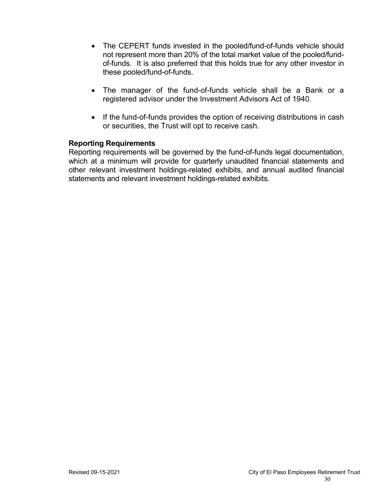- The CEPERT funds invested in the pooled/fund-of-funds vehicle should not represent more than 20% of the total market value of the pooled/fundof-funds. It is also preferred that this holds true for any other investor in these pooled/fund-of-funds.
- The manager of the fund-of-funds vehicle shall be a Bank or a registered advisor under the Investment Advisors Act of 1940.
- If the fund-of-funds provides the option of receiving distributions in cash or securities, the Trust will opt to receive cash.

### **Reporting Requirements**

Reporting requirements will be governed by the fund-of-funds legal documentation, which at a minimum will provide for quarterly unaudited financial statements and other relevant investment holdings-related exhibits, and annual audited financial statements and relevant investment holdings-related exhibits.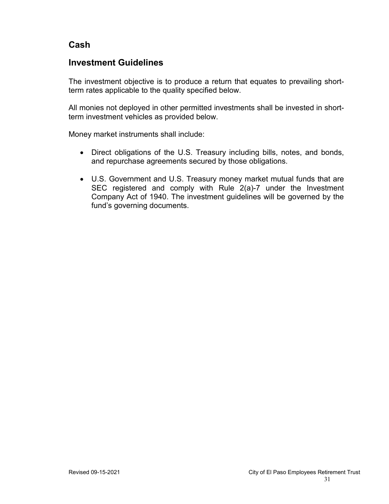## **Cash**

## **Investment Guidelines**

The investment objective is to produce a return that equates to prevailing shortterm rates applicable to the quality specified below.

All monies not deployed in other permitted investments shall be invested in shortterm investment vehicles as provided below.

Money market instruments shall include:

- Direct obligations of the U.S. Treasury including bills, notes, and bonds, and repurchase agreements secured by those obligations.
- U.S. Government and U.S. Treasury money market mutual funds that are SEC registered and comply with Rule 2(a)-7 under the Investment Company Act of 1940. The investment guidelines will be governed by the fund's governing documents.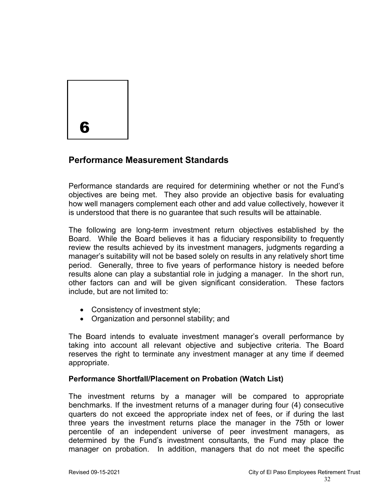

## **Performance Measurement Standards**

Performance standards are required for determining whether or not the Fund's objectives are being met. They also provide an objective basis for evaluating how well managers complement each other and add value collectively, however it is understood that there is no guarantee that such results will be attainable.

The following are long-term investment return objectives established by the Board. While the Board believes it has a fiduciary responsibility to frequently review the results achieved by its investment managers, judgments regarding a manager's suitability will not be based solely on results in any relatively short time period. Generally, three to five years of performance history is needed before results alone can play a substantial role in judging a manager. In the short run, other factors can and will be given significant consideration. These factors include, but are not limited to:

- Consistency of investment style;
- Organization and personnel stability; and

The Board intends to evaluate investment manager's overall performance by taking into account all relevant objective and subjective criteria. The Board reserves the right to terminate any investment manager at any time if deemed appropriate.

### **Performance Shortfall/Placement on Probation (Watch List)**

The investment returns by a manager will be compared to appropriate benchmarks. If the investment returns of a manager during four (4) consecutive quarters do not exceed the appropriate index net of fees, or if during the last three years the investment returns place the manager in the 75th or lower percentile of an independent universe of peer investment managers, as determined by the Fund's investment consultants, the Fund may place the manager on probation. In addition, managers that do not meet the specific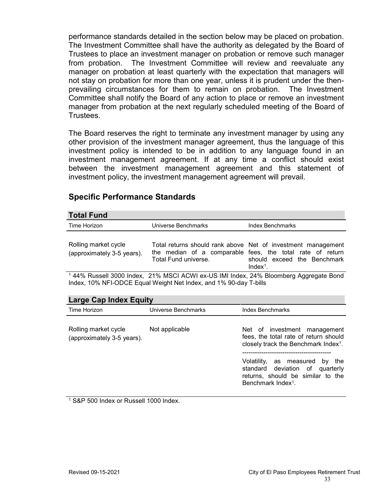performance standards detailed in the section below may be placed on probation. The Investment Committee shall have the authority as delegated by the Board of Trustees to place an investment manager on probation or remove such manager from probation. The Investment Committee will review and reevaluate any manager on probation at least quarterly with the expectation that managers will not stay on probation for more than one year, unless it is prudent under the thenprevailing circumstances for them to remain on probation. The Investment Committee shall notify the Board of any action to place or remove an investment manager from probation at the next regularly scheduled meeting of the Board of Trustees.

The Board reserves the right to terminate any investment manager by using any other provision of the investment manager agreement, thus the language of this investment policy is intended to be in addition to any language found in an investment management agreement. If at any time a conflict should exist between the investment management agreement and this statement of investment policy, the investment management agreement will prevail.

### **Specific Performance Standards**

#### **Total Fund**

| TULAI FUIIU                                        |                              |                                                                                                                                                                        |
|----------------------------------------------------|------------------------------|------------------------------------------------------------------------------------------------------------------------------------------------------------------------|
| Time Horizon                                       | Universe Benchmarks          | Index Benchmarks                                                                                                                                                       |
| Rolling market cycle<br>(approximately 3-5 years). | Total Fund universe.         | Total returns should rank above Net of investment management<br>the median of a comparable fees, the total rate of return<br>should exceed the Benchmark<br>$Index1$ . |
| $\overline{1}$ $\overline{1}$ $\overline{1}$<br>.  | .<br>$0.101$ $0.000$ $0.000$ | .                                                                                                                                                                      |

<sup>1</sup> 44% Russell 3000 Index, 21% MSCI ACWI ex-US IMI Index, 24% Bloomberg Aggregate Bond Index, 10% NFI-ODCE Equal Weight Net Index, and 1% 90-day T-bills

| <b>Large Cap Index Equity</b>                      |                     |                                                                                                                                                |  |  |
|----------------------------------------------------|---------------------|------------------------------------------------------------------------------------------------------------------------------------------------|--|--|
| Time Horizon                                       | Universe Benchmarks | <b>Index Benchmarks</b>                                                                                                                        |  |  |
| Rolling market cycle<br>(approximately 3-5 years). | Not applicable      | Net of investment management<br>fees, the total rate of return should<br>closely track the Benchmark Index <sup>1</sup> .                      |  |  |
|                                                    |                     | Volatility, as measured<br>the<br>by<br>standard deviation of quarterly<br>returns, should be similar to the<br>Benchmark Index <sup>1</sup> . |  |  |

<sup>1</sup> S&P 500 Index or Russell 1000 Index.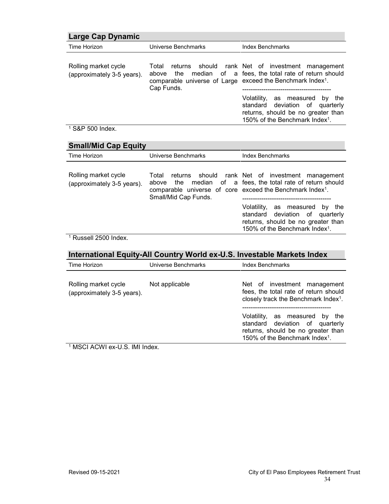| Large Cap Dynamic                                  |                                                                                                        |                                                                                                                                                       |  |  |
|----------------------------------------------------|--------------------------------------------------------------------------------------------------------|-------------------------------------------------------------------------------------------------------------------------------------------------------|--|--|
| Time Horizon                                       | Universe Benchmarks                                                                                    | <b>Index Benchmarks</b>                                                                                                                               |  |  |
| Rolling market cycle<br>(approximately 3-5 years). | Total<br>above<br>comparable universe of Large exceed the Benchmark Index <sup>1</sup> .<br>Cap Funds. | returns should rank Net of investment management<br>the median of a fees, the total rate of return should                                             |  |  |
|                                                    |                                                                                                        | Volatility, as measured by the<br>standard deviation of quarterly<br>returns, should be no greater than<br>150% of the Benchmark Index <sup>1</sup> . |  |  |

#### <sup>1</sup> S&P 500 Index.

| <b>Small/Mid Cap Equity</b>                        |                                                                                                                 |                                                                                                                                                       |  |  |
|----------------------------------------------------|-----------------------------------------------------------------------------------------------------------------|-------------------------------------------------------------------------------------------------------------------------------------------------------|--|--|
| Time Horizon                                       | Universe Benchmarks                                                                                             | <b>Index Benchmarks</b>                                                                                                                               |  |  |
| Rolling market cycle<br>(approximately 3-5 years). | Total<br>above<br>comparable universe of core exceed the Benchmark Index <sup>1</sup> .<br>Small/Mid Cap Funds. | returns should rank Net of investment management<br>the median of a fees, the total rate of return should                                             |  |  |
|                                                    |                                                                                                                 | Volatility, as measured by the<br>standard deviation of quarterly<br>returns, should be no greater than<br>150% of the Benchmark Index <sup>1</sup> . |  |  |
| 1 Ruccall 2500 Indov                               |                                                                                                                 |                                                                                                                                                       |  |  |

Russell 2500 Index.

| International Equity-All Country World ex-U.S. Investable Markets Index |                     |                                                                                                                                                          |  |  |
|-------------------------------------------------------------------------|---------------------|----------------------------------------------------------------------------------------------------------------------------------------------------------|--|--|
| Time Horizon                                                            | Universe Benchmarks | <b>Index Benchmarks</b>                                                                                                                                  |  |  |
| Rolling market cycle<br>Not applicable<br>(approximately 3-5 years).    |                     | Net of investment management<br>fees, the total rate of return should<br>closely track the Benchmark Index <sup>1</sup> .                                |  |  |
|                                                                         |                     | Volatility, as measured<br>by the<br>standard deviation of quarterly<br>returns, should be no greater than<br>150% of the Benchmark Index <sup>1</sup> . |  |  |
| $1$ MCCLACMI ov II C IMI Indov                                          |                     |                                                                                                                                                          |  |  |

MSCI ACWI ex-U.S. IMI Index.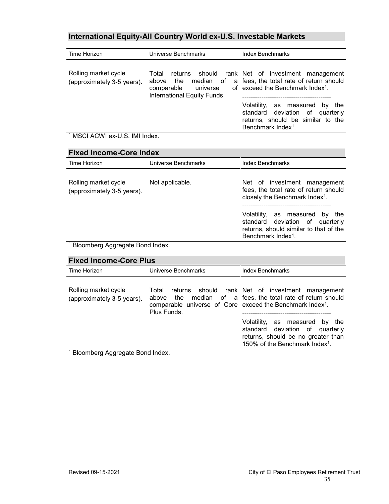## **International Equity-All Country World ex-U.S. Investable Markets**

| Time Horizon                                       | Universe Benchmarks                                                            | <b>Index Benchmarks</b>                                                                                                                               |
|----------------------------------------------------|--------------------------------------------------------------------------------|-------------------------------------------------------------------------------------------------------------------------------------------------------|
| Rolling market cycle<br>(approximately 3-5 years). | Total<br>the<br>above<br>comparable<br>universe<br>International Equity Funds. | returns should rank Net of investment management<br>median of a fees, the total rate of return should<br>of exceed the Benchmark Index <sup>1</sup> . |
|                                                    |                                                                                | Volatility, as measured by the<br>standard deviation of quarterly<br>returns, should be similar to the<br>Benchmark Index <sup>1</sup> .              |

<sup>1</sup> MSCI ACWI ex-U.S. IMI Index.

| <b>Fixed Income-Core Index</b>                     |                     |                                                                                                                                                                                                                                                                         |  |  |
|----------------------------------------------------|---------------------|-------------------------------------------------------------------------------------------------------------------------------------------------------------------------------------------------------------------------------------------------------------------------|--|--|
| Time Horizon                                       | Universe Benchmarks | <b>Index Benchmarks</b>                                                                                                                                                                                                                                                 |  |  |
| Rolling market cycle<br>(approximately 3-5 years). | Not applicable.     | Net of investment management<br>fees, the total rate of return should<br>closely the Benchmark Index <sup>1</sup> .<br>Volatility, as measured<br>by the<br>standard deviation of quarterly<br>returns, should similar to that of the<br>Benchmark Index <sup>1</sup> . |  |  |
| <sup>1</sup> Bloomberg Aggregate Bond Index.       |                     |                                                                                                                                                                                                                                                                         |  |  |

| <b>Fixed Income-Core Plus</b>                      |                                                                                                               |                                                                                                                                                       |  |  |
|----------------------------------------------------|---------------------------------------------------------------------------------------------------------------|-------------------------------------------------------------------------------------------------------------------------------------------------------|--|--|
| Time Horizon                                       | Universe Benchmarks                                                                                           | <b>Index Benchmarks</b>                                                                                                                               |  |  |
| Rolling market cycle<br>(approximately 3-5 years). | Total<br>the<br>above<br>comparable universe of Core exceed the Benchmark Index <sup>1</sup> .<br>Plus Funds. | returns should rank Net of investment management<br>median of a fees, the total rate of return should                                                 |  |  |
|                                                    |                                                                                                               | Volatility, as measured by the<br>standard deviation of quarterly<br>returns, should be no greater than<br>150% of the Benchmark Index <sup>1</sup> . |  |  |
| <sup>1</sup> Bloomberg Aggregate Bond Index        |                                                                                                               |                                                                                                                                                       |  |  |

<sup>1</sup> Bloomberg Aggregate Bond Index.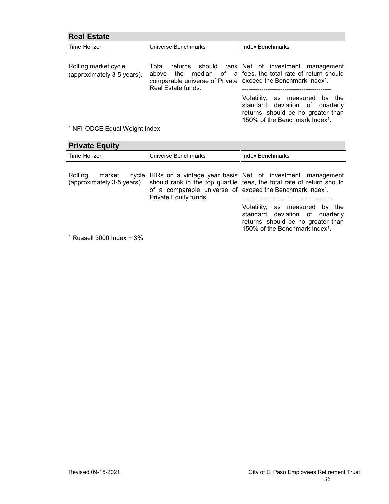| <b>Real Estate</b>                                 |                                                                                                                  |                                                                                                                                                          |
|----------------------------------------------------|------------------------------------------------------------------------------------------------------------------|----------------------------------------------------------------------------------------------------------------------------------------------------------|
| Time Horizon                                       | Universe Benchmarks                                                                                              | <b>Index Benchmarks</b>                                                                                                                                  |
| Rolling market cycle<br>(approximately 3-5 years). | Total<br>above<br>comparable universe of Private exceed the Benchmark Index <sup>1</sup> .<br>Real Estate funds. | returns should rank Net of investment management<br>the median of a fees, the total rate of return should                                                |
|                                                    |                                                                                                                  | Volatility, as measured<br>by the<br>standard deviation of quarterly<br>returns, should be no greater than<br>150% of the Benchmark Index <sup>1</sup> . |

# <sup>1</sup> NFI-ODCE Equal Weight Index

| <b>Private Equity</b>                           |                                                                                                |                                                                                                                                                       |
|-------------------------------------------------|------------------------------------------------------------------------------------------------|-------------------------------------------------------------------------------------------------------------------------------------------------------|
| Time Horizon                                    | Universe Benchmarks                                                                            | <b>Index Benchmarks</b>                                                                                                                               |
| Rolling<br>market<br>(approximately 3-5 years). | of a comparable universe of exceed the Benchmark Index <sup>1</sup> .<br>Private Equity funds. | cycle IRRs on a vintage year basis Net of investment management<br>should rank in the top quartile fees, the total rate of return should              |
|                                                 |                                                                                                | Volatility, as measured by the<br>standard deviation of quarterly<br>returns, should be no greater than<br>150% of the Benchmark Index <sup>1</sup> . |
| 1 Duccoll 2000 Indov $\pm$ 20/                  |                                                                                                |                                                                                                                                                       |

Russell  $3000$  Index +  $3%$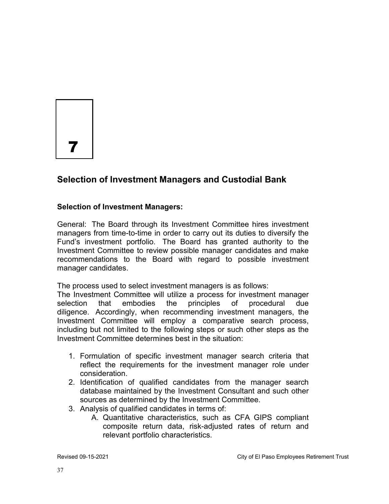7

## **Selection of Investment Managers and Custodial Bank**

### **Selection of Investment Managers:**

General: The Board through its Investment Committee hires investment managers from time-to-time in order to carry out its duties to diversify the Fund's investment portfolio. The Board has granted authority to the Investment Committee to review possible manager candidates and make recommendations to the Board with regard to possible investment manager candidates.

The process used to select investment managers is as follows:

The Investment Committee will utilize a process for investment manager selection that embodies the principles of procedural due diligence. Accordingly, when recommending investment managers, the Investment Committee will employ a comparative search process, including but not limited to the following steps or such other steps as the Investment Committee determines best in the situation:

- 1. Formulation of specific investment manager search criteria that reflect the requirements for the investment manager role under consideration.
- 2. Identification of qualified candidates from the manager search database maintained by the Investment Consultant and such other sources as determined by the Investment Committee.
- 3. Analysis of qualified candidates in terms of:
	- A. Quantitative characteristics, such as CFA GIPS compliant composite return data, risk-adjusted rates of return and relevant portfolio characteristics.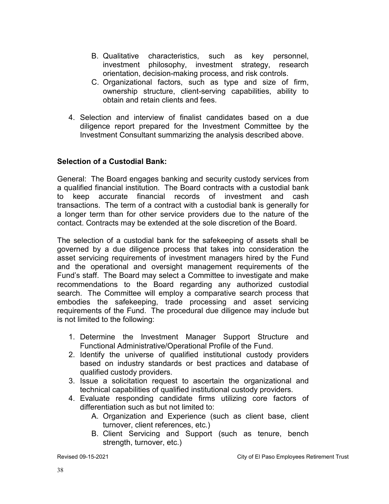- B. Qualitative characteristics, such as key personnel, investment philosophy, investment strategy, research orientation, decision-making process, and risk controls.
- C. Organizational factors, such as type and size of firm, ownership structure, client-serving capabilities, ability to obtain and retain clients and fees.
- 4. Selection and interview of finalist candidates based on a due diligence report prepared for the Investment Committee by the Investment Consultant summarizing the analysis described above.

### **Selection of a Custodial Bank:**

General: The Board engages banking and security custody services from a qualified financial institution. The Board contracts with a custodial bank to keep accurate financial records of investment and cash transactions. The term of a contract with a custodial bank is generally for a longer term than for other service providers due to the nature of the contact. Contracts may be extended at the sole discretion of the Board.

The selection of a custodial bank for the safekeeping of assets shall be governed by a due diligence process that takes into consideration the asset servicing requirements of investment managers hired by the Fund and the operational and oversight management requirements of the Fund's staff. The Board may select a Committee to investigate and make recommendations to the Board regarding any authorized custodial search. The Committee will employ a comparative search process that embodies the safekeeping, trade processing and asset servicing requirements of the Fund. The procedural due diligence may include but is not limited to the following:

- 1. Determine the Investment Manager Support Structure and Functional Administrative/Operational Profile of the Fund.
- 2. Identify the universe of qualified institutional custody providers based on industry standards or best practices and database of qualified custody providers.
- 3. Issue a solicitation request to ascertain the organizational and technical capabilities of qualified institutional custody providers.
- 4. Evaluate responding candidate firms utilizing core factors of differentiation such as but not limited to:
	- A. Organization and Experience (such as client base, client turnover, client references, etc.)
	- B. Client Servicing and Support (such as tenure, bench strength, turnover, etc.)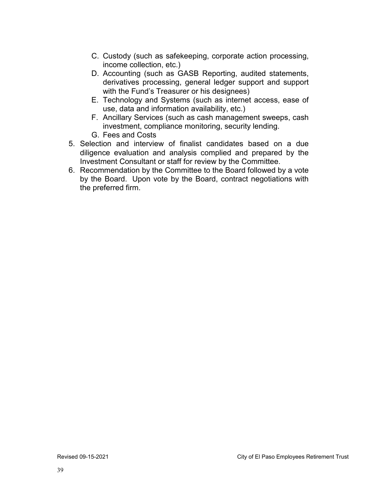- C. Custody (such as safekeeping, corporate action processing, income collection, etc.)
- D. Accounting (such as GASB Reporting, audited statements, derivatives processing, general ledger support and support with the Fund's Treasurer or his designees)
- E. Technology and Systems (such as internet access, ease of use, data and information availability, etc.)
- F. Ancillary Services (such as cash management sweeps, cash investment, compliance monitoring, security lending.
- G. Fees and Costs
- 5. Selection and interview of finalist candidates based on a due diligence evaluation and analysis complied and prepared by the Investment Consultant or staff for review by the Committee.
- 6. Recommendation by the Committee to the Board followed by a vote by the Board. Upon vote by the Board, contract negotiations with the preferred firm.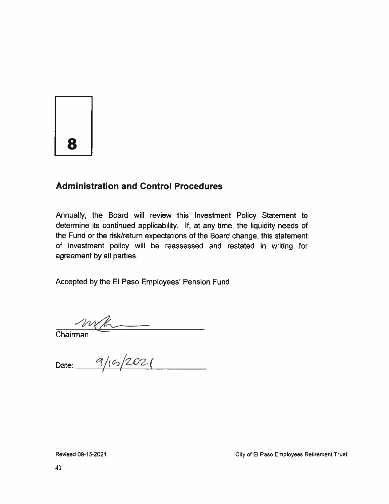8

## **Administration and Control Procedures**

Annually, the Board will review this Investment Policy Statement to determine its continued applicability. If, at any time, the liquidity needs of the Fund or the risk/return expectations of the Board change, this statement of investment policy will be reassessed and restated in writing for agreement by all parties.

Accepted by the El Paso Employees' Pension Fund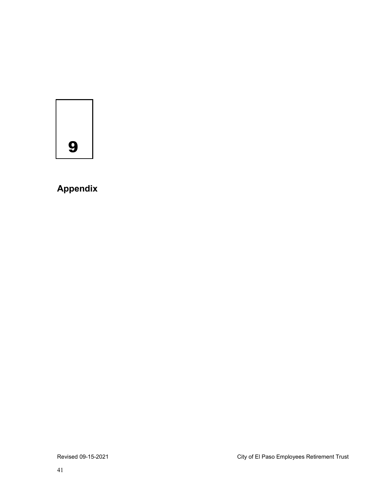9

# **Appendix**